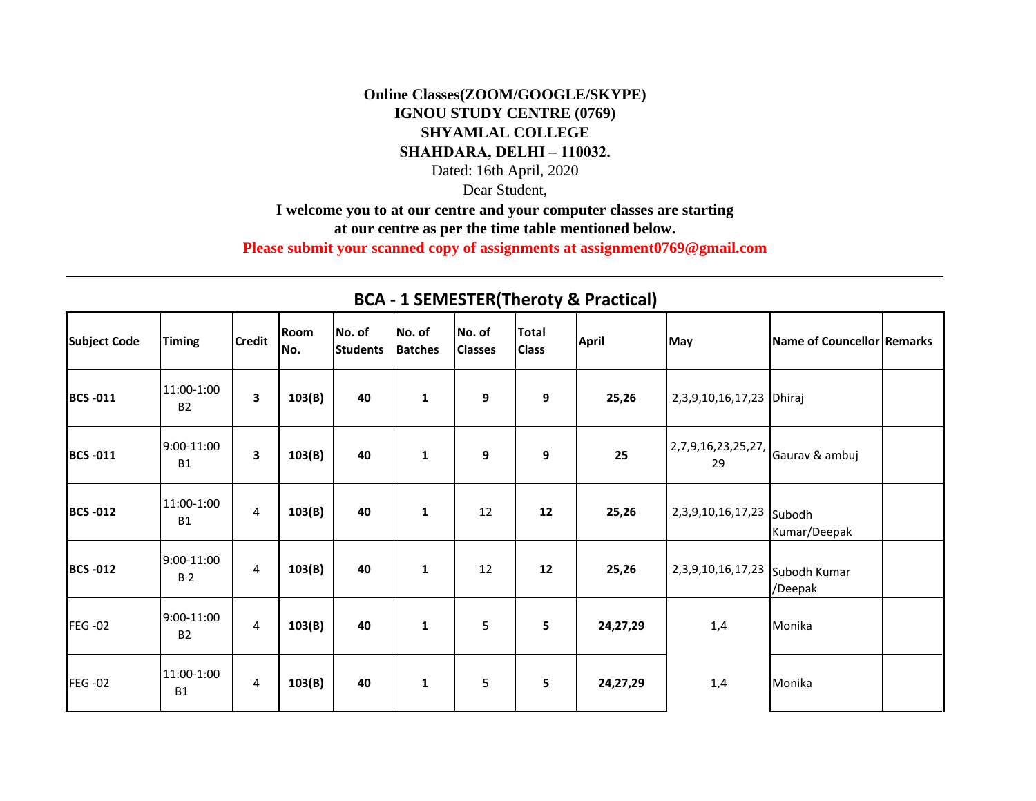## **Online Classes(ZOOM/GOOGLE/SKYPE) IGNOU STUDY CENTRE (0769) SHYAMLAL COLLEGE SHAHDARA, DELHI – 110032.**

Dated: 16th April, 2020

Dear Student,

**I welcome you to at our centre and your computer classes are starting** 

**at our centre as per the time table mentioned below.** 

**Please submit your scanned copy of assignments at assignment0769@gmail.com**

| <b>Subject Code</b> | <b>Timing</b>           | <b>Credit</b> | Room<br>No. | No. of<br><b>Students</b> | No. of<br><b>Batches</b> | No. of<br><b>Classes</b> | <b>Total</b><br><b>Class</b> | <b>April</b> | May                                        | Name of Councellor Remarks |  |
|---------------------|-------------------------|---------------|-------------|---------------------------|--------------------------|--------------------------|------------------------------|--------------|--------------------------------------------|----------------------------|--|
| <b>BCS-011</b>      | 11:00-1:00<br><b>B2</b> | 3             | 103(B)      | 40                        | 1                        | 9                        | 9                            | 25,26        | 2,3,9,10,16,17,23   Dhiraj                 |                            |  |
| <b>BCS-011</b>      | 9:00-11:00<br><b>B1</b> | 3             | 103(B)      | 40                        | 1                        | 9                        | 9                            | 25           | $(2,7,9,16,23,25,27,$ Gaurav & ambuj<br>29 |                            |  |
| <b>BCS -012</b>     | 11:00-1:00<br><b>B1</b> | 4             | 103(B)      | 40                        | 1                        | 12                       | 12                           | 25,26        | 2,3,9,10,16,17,23 Subodh                   | Kumar/Deepak               |  |
| <b>BCS -012</b>     | 9:00-11:00<br><b>B2</b> | 4             | 103(B)      | 40                        | 1                        | 12                       | 12                           | 25,26        | 2,3,9,10,16,17,23 Subodh Kumar             | /Deepak                    |  |
| <b>FEG-02</b>       | 9:00-11:00<br><b>B2</b> | 4             | 103(B)      | 40                        | $\mathbf{1}$             | 5                        | 5                            | 24,27,29     | 1,4                                        | Monika                     |  |
| <b>FEG-02</b>       | 11:00-1:00<br><b>B1</b> | 4             | 103(B)      | 40                        | 1                        | 5                        | 5                            | 24,27,29     | 1,4                                        | Monika                     |  |

## **BCA - 1 SEMESTER(Theroty & Practical)**